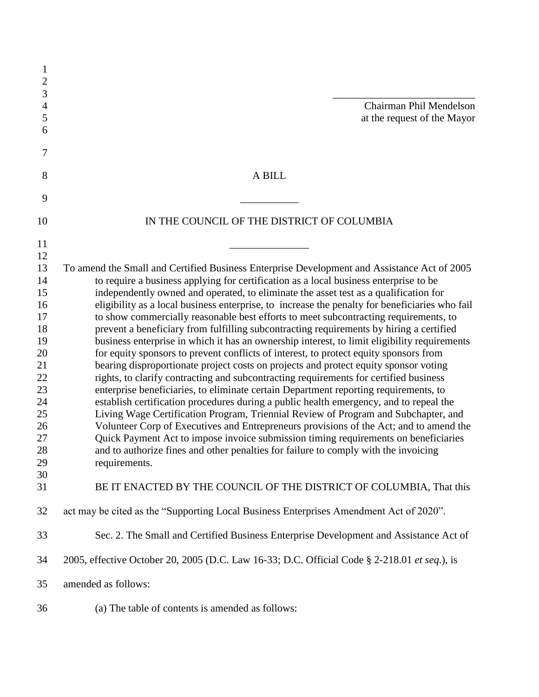| $\mathbf{1}$<br>$\overline{2}$ |                                                                                                                                                                               |
|--------------------------------|-------------------------------------------------------------------------------------------------------------------------------------------------------------------------------|
| 3                              |                                                                                                                                                                               |
| $\overline{4}$<br>5            | Chairman Phil Mendelson                                                                                                                                                       |
| 6                              | at the request of the Mayor                                                                                                                                                   |
|                                |                                                                                                                                                                               |
| 7                              |                                                                                                                                                                               |
| 8                              | A BILL                                                                                                                                                                        |
| 9                              |                                                                                                                                                                               |
| 10                             | IN THE COUNCIL OF THE DISTRICT OF COLUMBIA                                                                                                                                    |
| 11                             |                                                                                                                                                                               |
| 12                             |                                                                                                                                                                               |
| 13                             | To amend the Small and Certified Business Enterprise Development and Assistance Act of 2005                                                                                   |
| 14                             | to require a business applying for certification as a local business enterprise to be                                                                                         |
| 15                             | independently owned and operated, to eliminate the asset test as a qualification for                                                                                          |
| 16                             | eligibility as a local business enterprise, to increase the penalty for beneficiaries who fail                                                                                |
| 17                             | to show commercially reasonable best efforts to meet subcontracting requirements, to                                                                                          |
| 18                             | prevent a beneficiary from fulfilling subcontracting requirements by hiring a certified                                                                                       |
| 19                             | business enterprise in which it has an ownership interest, to limit eligibility requirements                                                                                  |
| 20<br>21                       | for equity sponsors to prevent conflicts of interest, to protect equity sponsors from<br>bearing disproportionate project costs on projects and protect equity sponsor voting |
| 22                             | rights, to clarify contracting and subcontracting requirements for certified business                                                                                         |
| 23                             | enterprise beneficiaries, to eliminate certain Department reporting requirements, to                                                                                          |
| 24                             | establish certification procedures during a public health emergency, and to repeal the                                                                                        |
| 25                             | Living Wage Certification Program, Triennial Review of Program and Subchapter, and                                                                                            |
| 26                             | Volunteer Corp of Executives and Entrepreneurs provisions of the Act; and to amend the                                                                                        |
| 27                             | Quick Payment Act to impose invoice submission timing requirements on beneficiaries                                                                                           |
| 28                             | and to authorize fines and other penalties for failure to comply with the invoicing                                                                                           |
| 29                             | requirements.                                                                                                                                                                 |
| 30                             |                                                                                                                                                                               |
| 31                             | BE IT ENACTED BY THE COUNCIL OF THE DISTRICT OF COLUMBIA, That this                                                                                                           |
| 32                             | act may be cited as the "Supporting Local Business Enterprises Amendment Act of 2020".                                                                                        |
| 33                             | Sec. 2. The Small and Certified Business Enterprise Development and Assistance Act of                                                                                         |
| 34                             | 2005, effective October 20, 2005 (D.C. Law 16-33; D.C. Official Code § 2-218.01 et seq.), is                                                                                  |
| 35                             | amended as follows:                                                                                                                                                           |
| 36                             | (a) The table of contents is amended as follows:                                                                                                                              |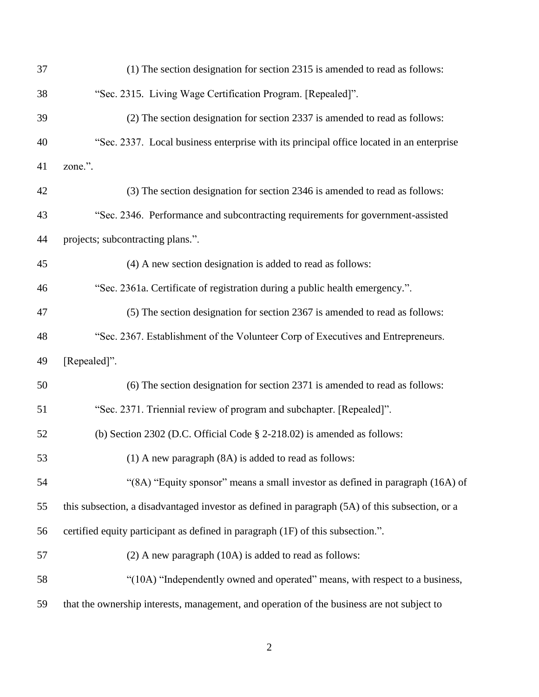| 37 | (1) The section designation for section 2315 is amended to read as follows:                     |
|----|-------------------------------------------------------------------------------------------------|
| 38 | "Sec. 2315. Living Wage Certification Program. [Repealed]".                                     |
| 39 | (2) The section designation for section 2337 is amended to read as follows:                     |
| 40 | "Sec. 2337. Local business enterprise with its principal office located in an enterprise        |
| 41 | zone.".                                                                                         |
| 42 | (3) The section designation for section 2346 is amended to read as follows:                     |
| 43 | "Sec. 2346. Performance and subcontracting requirements for government-assisted                 |
| 44 | projects; subcontracting plans.".                                                               |
| 45 | (4) A new section designation is added to read as follows:                                      |
| 46 | "Sec. 2361a. Certificate of registration during a public health emergency.".                    |
| 47 | (5) The section designation for section 2367 is amended to read as follows:                     |
| 48 | "Sec. 2367. Establishment of the Volunteer Corp of Executives and Entrepreneurs.                |
| 49 | [Repealed]".                                                                                    |
| 50 | (6) The section designation for section 2371 is amended to read as follows:                     |
| 51 | "Sec. 2371. Triennial review of program and subchapter. [Repealed]".                            |
| 52 | (b) Section 2302 (D.C. Official Code $\S$ 2-218.02) is amended as follows:                      |
| 53 | $(1)$ A new paragraph $(8A)$ is added to read as follows:                                       |
| 54 | "(8A) "Equity sponsor" means a small investor as defined in paragraph (16A) of                  |
| 55 | this subsection, a disadvantaged investor as defined in paragraph (5A) of this subsection, or a |
| 56 | certified equity participant as defined in paragraph (1F) of this subsection.".                 |
| 57 | $(2)$ A new paragraph $(10A)$ is added to read as follows:                                      |
| 58 | "(10A) "Independently owned and operated" means, with respect to a business,                    |
| 59 | that the ownership interests, management, and operation of the business are not subject to      |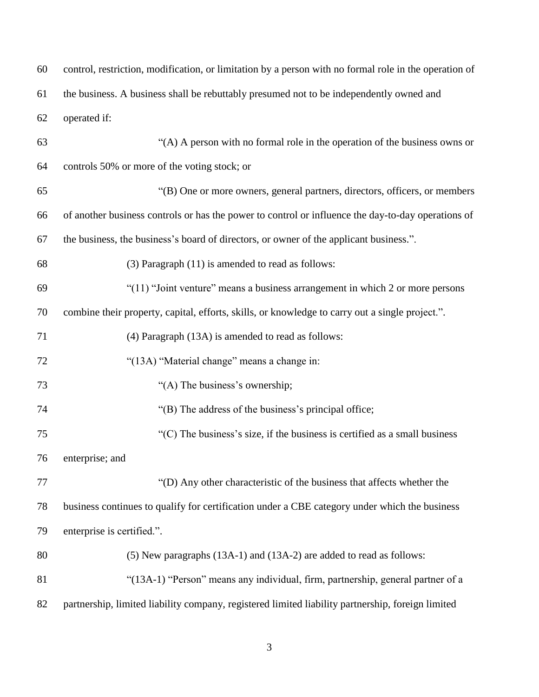| 60 | control, restriction, modification, or limitation by a person with no formal role in the operation of |
|----|-------------------------------------------------------------------------------------------------------|
| 61 | the business. A business shall be rebuttably presumed not to be independently owned and               |
| 62 | operated if:                                                                                          |
| 63 | "(A) A person with no formal role in the operation of the business owns or                            |
| 64 | controls 50% or more of the voting stock; or                                                          |
| 65 | "(B) One or more owners, general partners, directors, officers, or members                            |
| 66 | of another business controls or has the power to control or influence the day-to-day operations of    |
| 67 | the business, the business's board of directors, or owner of the applicant business.".                |
| 68 | $(3)$ Paragraph $(11)$ is amended to read as follows:                                                 |
| 69 | "(11) "Joint venture" means a business arrangement in which 2 or more persons                         |
| 70 | combine their property, capital, efforts, skills, or knowledge to carry out a single project.".       |
| 71 | (4) Paragraph (13A) is amended to read as follows:                                                    |
| 72 | "(13A) "Material change" means a change in:                                                           |
| 73 | "(A) The business's ownership;                                                                        |
| 74 | "(B) The address of the business's principal office;                                                  |
| 75 | $C$ ) The business's size, if the business is certified as a small business                           |
| 76 | enterprise; and                                                                                       |
| 77 | "(D) Any other characteristic of the business that affects whether the                                |
| 78 | business continues to qualify for certification under a CBE category under which the business         |
| 79 | enterprise is certified.".                                                                            |
| 80 | (5) New paragraphs (13A-1) and (13A-2) are added to read as follows:                                  |
| 81 | "(13A-1) "Person" means any individual, firm, partnership, general partner of a                       |
| 82 | partnership, limited liability company, registered limited liability partnership, foreign limited     |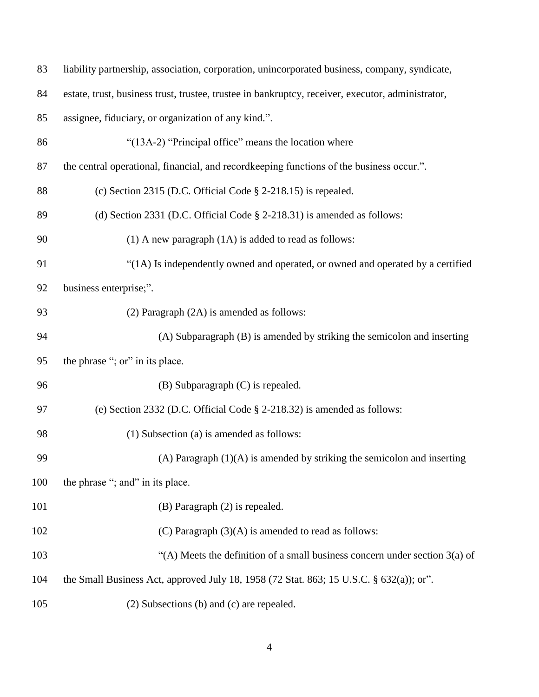| 83  | liability partnership, association, corporation, unincorporated business, company, syndicate,     |
|-----|---------------------------------------------------------------------------------------------------|
| 84  | estate, trust, business trust, trustee, trustee in bankruptcy, receiver, executor, administrator, |
| 85  | assignee, fiduciary, or organization of any kind.".                                               |
| 86  | "(13A-2) "Principal office" means the location where                                              |
| 87  | the central operational, financial, and recordkeeping functions of the business occur.".          |
| 88  | (c) Section 2315 (D.C. Official Code $\S$ 2-218.15) is repealed.                                  |
| 89  | (d) Section 2331 (D.C. Official Code $\S$ 2-218.31) is amended as follows:                        |
| 90  | $(1)$ A new paragraph $(1A)$ is added to read as follows:                                         |
| 91  | "(1A) Is independently owned and operated, or owned and operated by a certified                   |
| 92  | business enterprise;".                                                                            |
| 93  | $(2)$ Paragraph $(2A)$ is amended as follows:                                                     |
| 94  | (A) Subparagraph (B) is amended by striking the semicolon and inserting                           |
| 95  | the phrase "; or" in its place.                                                                   |
| 96  | (B) Subparagraph (C) is repealed.                                                                 |
| 97  | (e) Section 2332 (D.C. Official Code § 2-218.32) is amended as follows:                           |
| 98  | (1) Subsection (a) is amended as follows:                                                         |
| 99  | (A) Paragraph $(1)(A)$ is amended by striking the semicolon and inserting                         |
| 100 | the phrase "; and" in its place.                                                                  |
| 101 | (B) Paragraph (2) is repealed.                                                                    |
| 102 | $(C)$ Paragraph $(3)(A)$ is amended to read as follows:                                           |
| 103 | "(A) Meets the definition of a small business concern under section $3(a)$ of                     |
| 104 | the Small Business Act, approved July 18, 1958 (72 Stat. 863; 15 U.S.C. § 632(a)); or".           |
| 105 | (2) Subsections (b) and (c) are repealed.                                                         |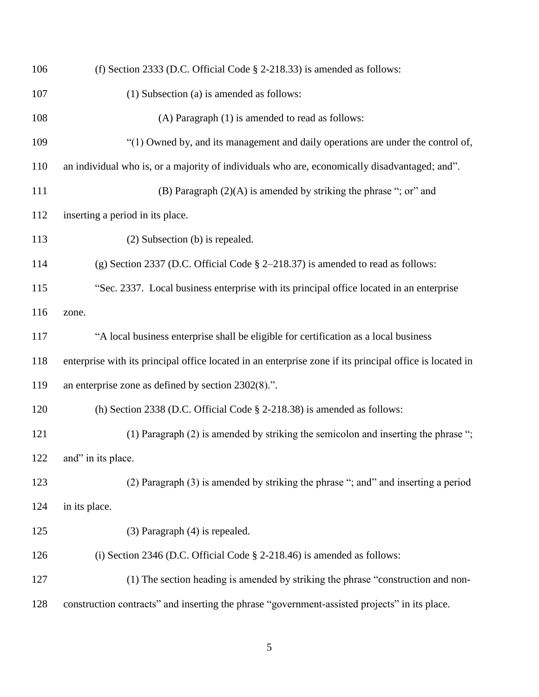| 106 | (f) Section 2333 (D.C. Official Code § 2-218.33) is amended as follows:                                  |
|-----|----------------------------------------------------------------------------------------------------------|
| 107 | (1) Subsection (a) is amended as follows:                                                                |
| 108 | (A) Paragraph (1) is amended to read as follows:                                                         |
| 109 | "(1) Owned by, and its management and daily operations are under the control of,                         |
| 110 | an individual who is, or a majority of individuals who are, economically disadvantaged; and".            |
| 111 | (B) Paragraph $(2)(A)$ is amended by striking the phrase "; or" and                                      |
| 112 | inserting a period in its place.                                                                         |
| 113 | (2) Subsection (b) is repealed.                                                                          |
| 114 | (g) Section 2337 (D.C. Official Code $\S$ 2-218.37) is amended to read as follows:                       |
| 115 | "Sec. 2337. Local business enterprise with its principal office located in an enterprise                 |
| 116 | zone.                                                                                                    |
| 117 | "A local business enterprise shall be eligible for certification as a local business                     |
| 118 | enterprise with its principal office located in an enterprise zone if its principal office is located in |
| 119 | an enterprise zone as defined by section $2302(8)$ .".                                                   |
| 120 | (h) Section 2338 (D.C. Official Code $\S$ 2-218.38) is amended as follows:                               |
| 121 | (1) Paragraph (2) is amended by striking the semicolon and inserting the phrase ";                       |
| 122 | and" in its place.                                                                                       |
| 123 | (2) Paragraph (3) is amended by striking the phrase "; and" and inserting a period                       |
| 124 | in its place.                                                                                            |
| 125 | (3) Paragraph (4) is repealed.                                                                           |
| 126 | (i) Section 2346 (D.C. Official Code $\S$ 2-218.46) is amended as follows:                               |
| 127 | (1) The section heading is amended by striking the phrase "construction and non-                         |
| 128 | construction contracts" and inserting the phrase "government-assisted projects" in its place.            |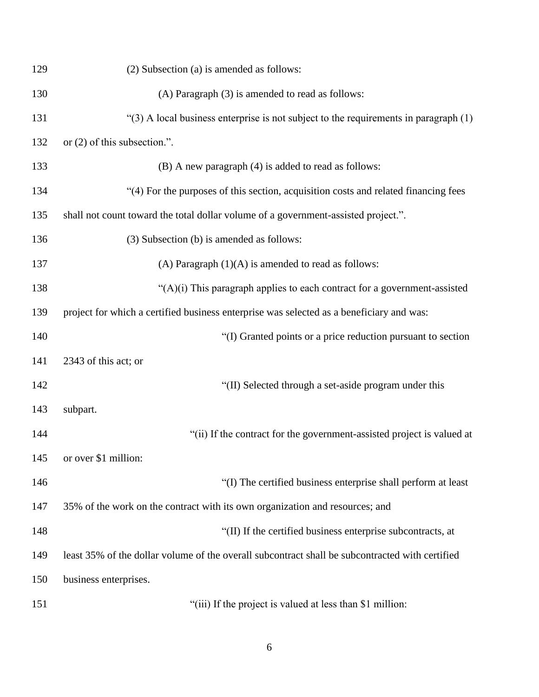| 129 | (2) Subsection (a) is amended as follows:                                                       |
|-----|-------------------------------------------------------------------------------------------------|
| 130 | (A) Paragraph (3) is amended to read as follows:                                                |
| 131 | " $(3)$ A local business enterprise is not subject to the requirements in paragraph $(1)$       |
| 132 | or $(2)$ of this subsection.".                                                                  |
| 133 | (B) A new paragraph (4) is added to read as follows:                                            |
| 134 | "(4) For the purposes of this section, acquisition costs and related financing fees             |
| 135 | shall not count toward the total dollar volume of a government-assisted project.".              |
| 136 | (3) Subsection (b) is amended as follows:                                                       |
| 137 | (A) Paragraph $(1)(A)$ is amended to read as follows:                                           |
| 138 | " $(A)(i)$ This paragraph applies to each contract for a government-assisted                    |
| 139 | project for which a certified business enterprise was selected as a beneficiary and was:        |
| 140 | "(I) Granted points or a price reduction pursuant to section                                    |
| 141 | 2343 of this act; or                                                                            |
| 142 | "(II) Selected through a set-aside program under this                                           |
| 143 | subpart.                                                                                        |
| 144 | "(ii) If the contract for the government-assisted project is valued at                          |
| 145 | or over \$1 million:                                                                            |
| 146 | "(I) The certified business enterprise shall perform at least                                   |
| 147 | 35% of the work on the contract with its own organization and resources; and                    |
| 148 | "(II) If the certified business enterprise subcontracts, at                                     |
| 149 | least 35% of the dollar volume of the overall subcontract shall be subcontracted with certified |
| 150 | business enterprises.                                                                           |
| 151 | "(iii) If the project is valued at less than \$1 million:                                       |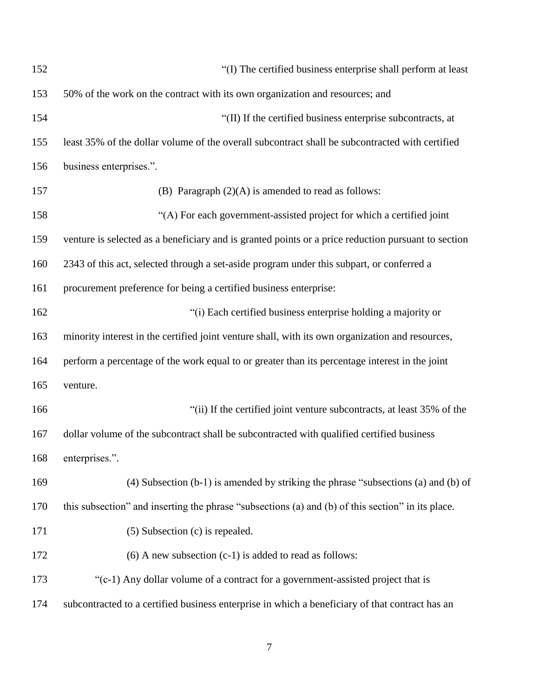| 152 | "(I) The certified business enterprise shall perform at least                                       |
|-----|-----------------------------------------------------------------------------------------------------|
| 153 | 50% of the work on the contract with its own organization and resources; and                        |
| 154 | "(II) If the certified business enterprise subcontracts, at                                         |
| 155 | least 35% of the dollar volume of the overall subcontract shall be subcontracted with certified     |
| 156 | business enterprises.".                                                                             |
| 157 | (B) Paragraph $(2)(A)$ is amended to read as follows:                                               |
| 158 | "(A) For each government-assisted project for which a certified joint                               |
| 159 | venture is selected as a beneficiary and is granted points or a price reduction pursuant to section |
| 160 | 2343 of this act, selected through a set-aside program under this subpart, or conferred a           |
| 161 | procurement preference for being a certified business enterprise:                                   |
| 162 | "(i) Each certified business enterprise holding a majority or                                       |
| 163 | minority interest in the certified joint venture shall, with its own organization and resources,    |
| 164 | perform a percentage of the work equal to or greater than its percentage interest in the joint      |
| 165 | venture.                                                                                            |
| 166 | "(ii) If the certified joint venture subcontracts, at least 35% of the                              |
| 167 | dollar volume of the subcontract shall be subcontracted with qualified certified business           |
| 168 | enterprises.".                                                                                      |
| 169 | $(4)$ Subsection $(b-1)$ is amended by striking the phrase "subsections $(a)$ and $(b)$ of          |
| 170 | this subsection" and inserting the phrase "subsections (a) and (b) of this section" in its place.   |
| 171 | (5) Subsection (c) is repealed.                                                                     |
| 172 | $(6)$ A new subsection $(c-1)$ is added to read as follows:                                         |
| 173 | "(c-1) Any dollar volume of a contract for a government-assisted project that is                    |
| 174 | subcontracted to a certified business enterprise in which a beneficiary of that contract has an     |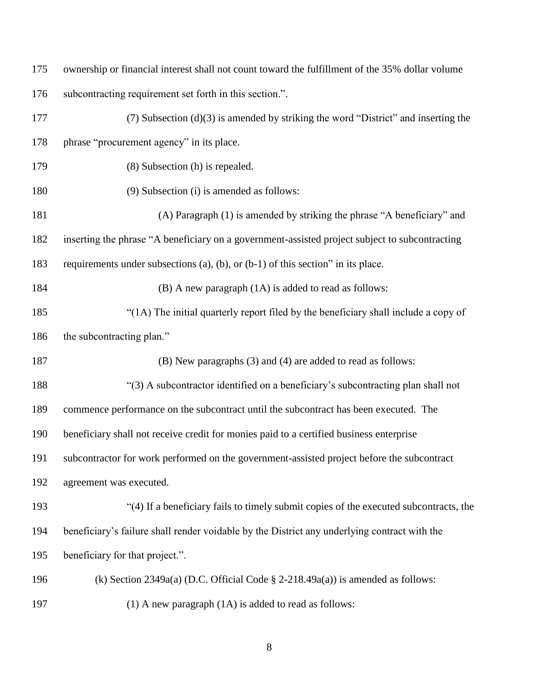|     | 175 ownership or financial interest shall not count toward the fulfillment of the 35% dollar volume |
|-----|-----------------------------------------------------------------------------------------------------|
| 176 | subcontracting requirement set forth in this section.".                                             |

| 177 | $(7)$ Subsection $(d)(3)$ is amended by striking the word "District" and inserting the         |
|-----|------------------------------------------------------------------------------------------------|
| 178 | phrase "procurement agency" in its place.                                                      |
| 179 | (8) Subsection (h) is repealed.                                                                |
| 180 | (9) Subsection (i) is amended as follows:                                                      |
| 181 | (A) Paragraph (1) is amended by striking the phrase "A beneficiary" and                        |
| 182 | inserting the phrase "A beneficiary on a government-assisted project subject to subcontracting |
| 183 | requirements under subsections (a), (b), or $(b-1)$ of this section" in its place.             |
| 184 | (B) A new paragraph (1A) is added to read as follows:                                          |
| 185 | "(1A) The initial quarterly report filed by the beneficiary shall include a copy of            |
| 186 | the subcontracting plan."                                                                      |
| 187 | (B) New paragraphs (3) and (4) are added to read as follows:                                   |
| 188 | "(3) A subcontractor identified on a beneficiary's subcontracting plan shall not               |
| 189 | commence performance on the subcontract until the subcontract has been executed. The           |
| 190 | beneficiary shall not receive credit for monies paid to a certified business enterprise        |
| 191 | subcontractor for work performed on the government-assisted project before the subcontract     |
| 192 | agreement was executed.                                                                        |
| 193 | "(4) If a beneficiary fails to timely submit copies of the executed subcontracts, the          |
| 194 | beneficiary's failure shall render voidable by the District any underlying contract with the   |
| 195 | beneficiary for that project.".                                                                |
| 196 | (k) Section 2349a(a) (D.C. Official Code $\S$ 2-218.49a(a)) is amended as follows:             |
| 197 | $(1)$ A new paragraph $(1A)$ is added to read as follows:                                      |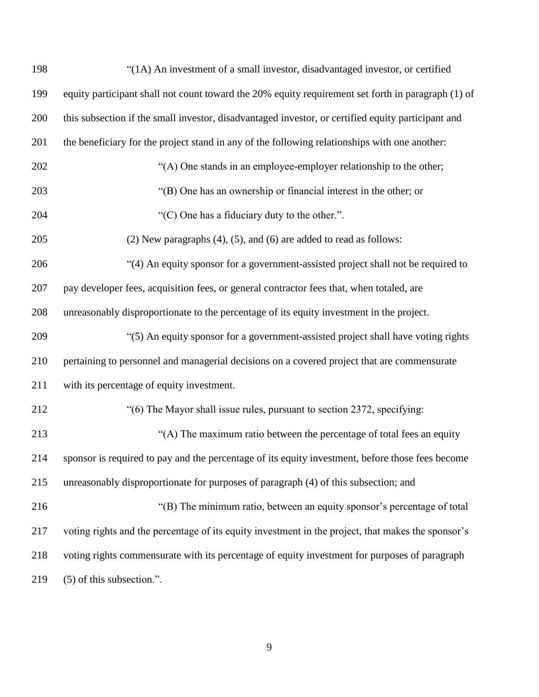| 198 | "(1A) An investment of a small investor, disadvantaged investor, or certified                      |
|-----|----------------------------------------------------------------------------------------------------|
| 199 | equity participant shall not count toward the 20% equity requirement set forth in paragraph (1) of |
| 200 | this subsection if the small investor, disadvantaged investor, or certified equity participant and |
| 201 | the beneficiary for the project stand in any of the following relationships with one another:      |
| 202 | "(A) One stands in an employee-employer relationship to the other;                                 |
| 203 | "(B) One has an ownership or financial interest in the other; or                                   |
| 204 | "(C) One has a fiduciary duty to the other.".                                                      |
| 205 | $(2)$ New paragraphs $(4)$ , $(5)$ , and $(6)$ are added to read as follows:                       |
| 206 | "(4) An equity sponsor for a government-assisted project shall not be required to                  |
| 207 | pay developer fees, acquisition fees, or general contractor fees that, when totaled, are           |
| 208 | unreasonably disproportionate to the percentage of its equity investment in the project.           |
| 209 | "(5) An equity sponsor for a government-assisted project shall have voting rights                  |
| 210 | pertaining to personnel and managerial decisions on a covered project that are commensurate        |
| 211 | with its percentage of equity investment.                                                          |
| 212 | "(6) The Mayor shall issue rules, pursuant to section 2372, specifying:                            |
| 213 | "(A) The maximum ratio between the percentage of total fees an equity                              |
| 214 | sponsor is required to pay and the percentage of its equity investment, before those fees become   |
| 215 | unreasonably disproportionate for purposes of paragraph (4) of this subsection; and                |
| 216 | "(B) The minimum ratio, between an equity sponsor's percentage of total                            |
| 217 | voting rights and the percentage of its equity investment in the project, that makes the sponsor's |
| 218 | voting rights commensurate with its percentage of equity investment for purposes of paragraph      |
| 219 | $(5)$ of this subsection.".                                                                        |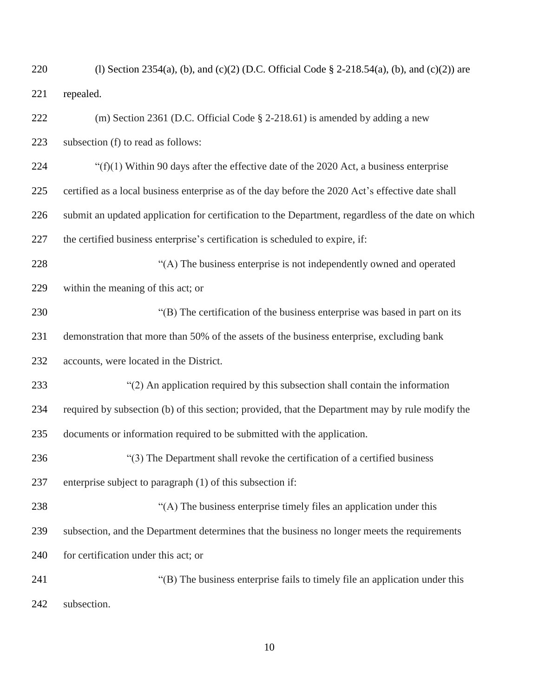| 220 | (1) Section 2354(a), (b), and (c)(2) (D.C. Official Code $\S$ 2-218.54(a), (b), and (c)(2)) are    |
|-----|----------------------------------------------------------------------------------------------------|
| 221 | repealed.                                                                                          |
| 222 | (m) Section 2361 (D.C. Official Code $\S$ 2-218.61) is amended by adding a new                     |
| 223 | subsection (f) to read as follows:                                                                 |
| 224 | " $(f)(1)$ Within 90 days after the effective date of the 2020 Act, a business enterprise          |
| 225 | certified as a local business enterprise as of the day before the 2020 Act's effective date shall  |
| 226 | submit an updated application for certification to the Department, regardless of the date on which |
| 227 | the certified business enterprise's certification is scheduled to expire, if:                      |
| 228 | "(A) The business enterprise is not independently owned and operated                               |
| 229 | within the meaning of this act; or                                                                 |
| 230 | "(B) The certification of the business enterprise was based in part on its                         |
| 231 | demonstration that more than 50% of the assets of the business enterprise, excluding bank          |
| 232 | accounts, were located in the District.                                                            |
| 233 | "(2) An application required by this subsection shall contain the information                      |
| 234 | required by subsection (b) of this section; provided, that the Department may by rule modify the   |
| 235 | documents or information required to be submitted with the application.                            |
| 236 | "(3) The Department shall revoke the certification of a certified business                         |
| 237 | enterprise subject to paragraph (1) of this subsection if:                                         |
| 238 | "(A) The business enterprise timely files an application under this                                |
| 239 | subsection, and the Department determines that the business no longer meets the requirements       |
| 240 | for certification under this act; or                                                               |
| 241 | "(B) The business enterprise fails to timely file an application under this                        |
| 242 | subsection.                                                                                        |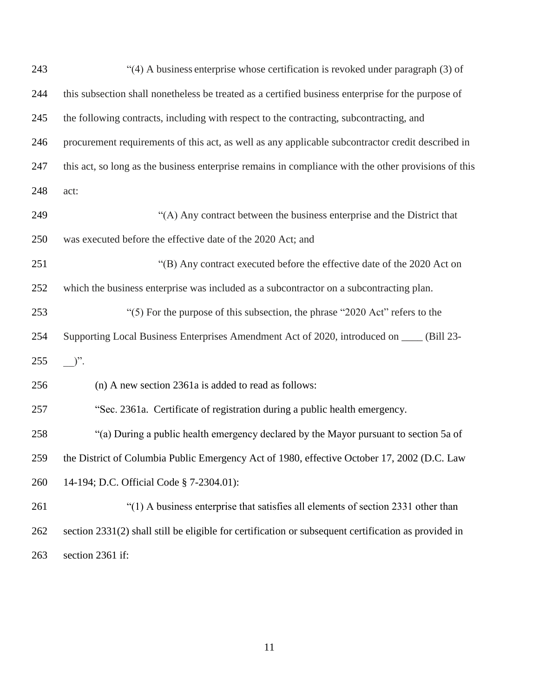| 243 | "(4) A business enterprise whose certification is revoked under paragraph (3) of                     |
|-----|------------------------------------------------------------------------------------------------------|
| 244 | this subsection shall nonetheless be treated as a certified business enterprise for the purpose of   |
| 245 | the following contracts, including with respect to the contracting, subcontracting, and              |
| 246 | procurement requirements of this act, as well as any applicable subcontractor credit described in    |
| 247 | this act, so long as the business enterprise remains in compliance with the other provisions of this |
| 248 | act:                                                                                                 |
| 249 | "(A) Any contract between the business enterprise and the District that                              |
| 250 | was executed before the effective date of the 2020 Act; and                                          |
| 251 | "(B) Any contract executed before the effective date of the 2020 Act on                              |
| 252 | which the business enterprise was included as a subcontractor on a subcontracting plan.              |
| 253 | "(5) For the purpose of this subsection, the phrase "2020 Act" refers to the                         |
| 254 | Supporting Local Business Enterprises Amendment Act of 2020, introduced on ____ (Bill 23-            |
| 255 | $)^{\prime\prime}$ .                                                                                 |
| 256 | (n) A new section 2361a is added to read as follows:                                                 |
| 257 | "Sec. 2361a. Certificate of registration during a public health emergency.                           |
| 258 | "(a) During a public health emergency declared by the Mayor pursuant to section 5a of                |
| 259 | the District of Columbia Public Emergency Act of 1980, effective October 17, 2002 (D.C. Law          |
| 260 | 14-194; D.C. Official Code § 7-2304.01):                                                             |
| 261 | "(1) A business enterprise that satisfies all elements of section 2331 other than                    |
| 262 | section 2331(2) shall still be eligible for certification or subsequent certification as provided in |
| 263 | section 2361 if:                                                                                     |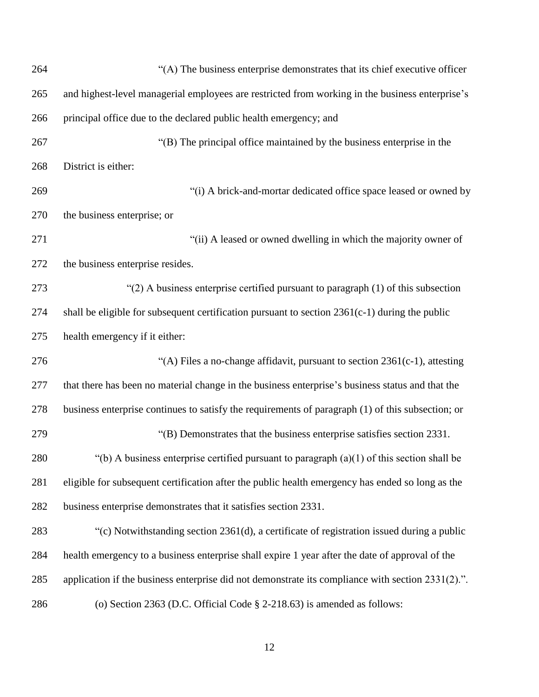| 264 | "(A) The business enterprise demonstrates that its chief executive officer                        |
|-----|---------------------------------------------------------------------------------------------------|
| 265 | and highest-level managerial employees are restricted from working in the business enterprise's   |
| 266 | principal office due to the declared public health emergency; and                                 |
| 267 | "(B) The principal office maintained by the business enterprise in the                            |
| 268 | District is either:                                                                               |
| 269 | "(i) A brick-and-mortar dedicated office space leased or owned by                                 |
| 270 | the business enterprise; or                                                                       |
| 271 | "(ii) A leased or owned dwelling in which the majority owner of                                   |
| 272 | the business enterprise resides.                                                                  |
| 273 | " $(2)$ A business enterprise certified pursuant to paragraph $(1)$ of this subsection            |
| 274 | shall be eligible for subsequent certification pursuant to section 2361(c-1) during the public    |
| 275 | health emergency if it either:                                                                    |
| 276 | "(A) Files a no-change affidavit, pursuant to section 2361(c-1), attesting                        |
| 277 | that there has been no material change in the business enterprise's business status and that the  |
| 278 | business enterprise continues to satisfy the requirements of paragraph (1) of this subsection; or |
| 279 | "(B) Demonstrates that the business enterprise satisfies section 2331.                            |
| 280 | "(b) A business enterprise certified pursuant to paragraph $(a)(1)$ of this section shall be      |
| 281 | eligible for subsequent certification after the public health emergency has ended so long as the  |
| 282 | business enterprise demonstrates that it satisfies section 2331.                                  |
| 283 | "(c) Notwithstanding section 2361(d), a certificate of registration issued during a public        |
| 284 | health emergency to a business enterprise shall expire 1 year after the date of approval of the   |
| 285 | application if the business enterprise did not demonstrate its compliance with section 2331(2).". |
| 286 | (o) Section 2363 (D.C. Official Code $\S$ 2-218.63) is amended as follows:                        |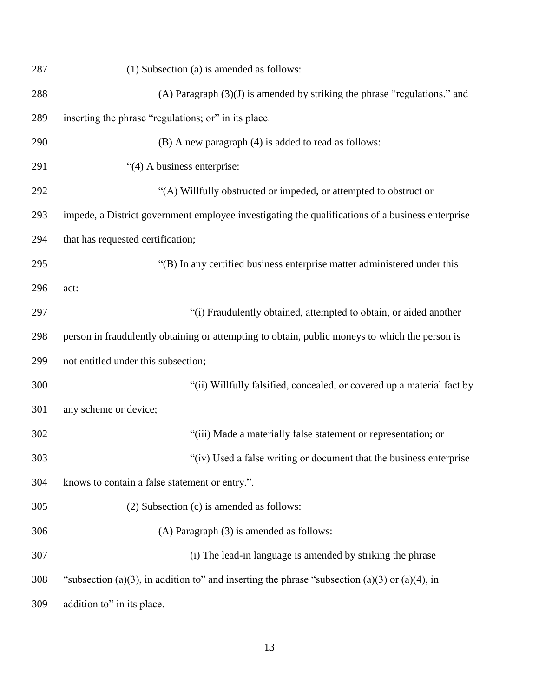| 287 | (1) Subsection (a) is amended as follows:                                                        |
|-----|--------------------------------------------------------------------------------------------------|
| 288 | (A) Paragraph $(3)(J)$ is amended by striking the phrase "regulations." and                      |
| 289 | inserting the phrase "regulations; or" in its place.                                             |
| 290 | (B) A new paragraph (4) is added to read as follows:                                             |
| 291 | "(4) A business enterprise:                                                                      |
| 292 | "(A) Willfully obstructed or impeded, or attempted to obstruct or                                |
| 293 | impede, a District government employee investigating the qualifications of a business enterprise |
| 294 | that has requested certification;                                                                |
| 295 | "(B) In any certified business enterprise matter administered under this                         |
| 296 | act:                                                                                             |
| 297 | "(i) Fraudulently obtained, attempted to obtain, or aided another                                |
| 298 | person in fraudulently obtaining or attempting to obtain, public moneys to which the person is   |
| 299 | not entitled under this subsection;                                                              |
| 300 | "(ii) Willfully falsified, concealed, or covered up a material fact by                           |
| 301 | any scheme or device;                                                                            |
| 302 | "(iii) Made a materially false statement or representation; or                                   |
| 303 | "(iv) Used a false writing or document that the business enterprise                              |
| 304 | knows to contain a false statement or entry.".                                                   |
| 305 | (2) Subsection (c) is amended as follows:                                                        |
| 306 | (A) Paragraph (3) is amended as follows:                                                         |
| 307 | (i) The lead-in language is amended by striking the phrase                                       |
| 308 | "subsection (a)(3), in addition to" and inserting the phrase "subsection (a)(3) or (a)(4), in    |
| 309 | addition to" in its place.                                                                       |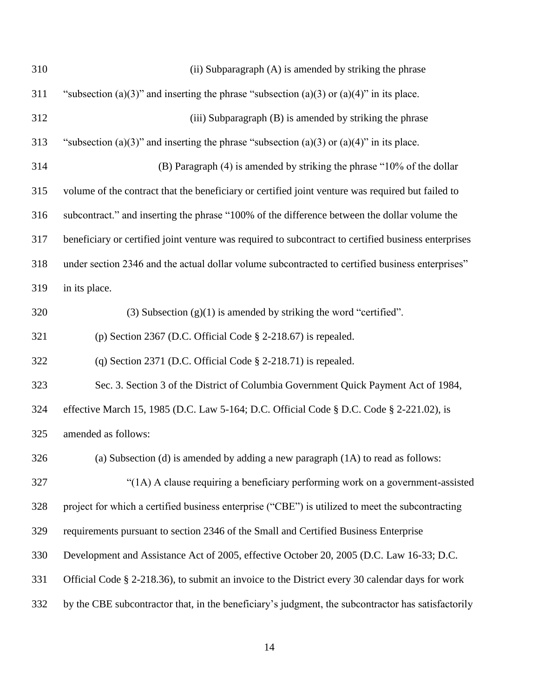| 310 | (ii) Subparagraph (A) is amended by striking the phrase                                              |
|-----|------------------------------------------------------------------------------------------------------|
| 311 | "subsection (a)(3)" and inserting the phrase "subsection (a)(3) or (a)(4)" in its place.             |
| 312 | (iii) Subparagraph (B) is amended by striking the phrase                                             |
| 313 | "subsection (a)(3)" and inserting the phrase "subsection (a)(3) or (a)(4)" in its place.             |
| 314 | (B) Paragraph (4) is amended by striking the phrase "10% of the dollar                               |
| 315 | volume of the contract that the beneficiary or certified joint venture was required but failed to    |
| 316 | subcontract." and inserting the phrase "100% of the difference between the dollar volume the         |
| 317 | beneficiary or certified joint venture was required to subcontract to certified business enterprises |
| 318 | under section 2346 and the actual dollar volume subcontracted to certified business enterprises"     |
| 319 | in its place.                                                                                        |
| 320 | (3) Subsection $(g)(1)$ is amended by striking the word "certified".                                 |
| 321 | (p) Section 2367 (D.C. Official Code § 2-218.67) is repealed.                                        |
| 322 | (q) Section 2371 (D.C. Official Code § 2-218.71) is repealed.                                        |
| 323 | Sec. 3. Section 3 of the District of Columbia Government Quick Payment Act of 1984,                  |
| 324 | effective March 15, 1985 (D.C. Law 5-164; D.C. Official Code § D.C. Code § 2-221.02), is             |
| 325 | amended as follows:                                                                                  |
| 326 | (a) Subsection (d) is amended by adding a new paragraph (1A) to read as follows:                     |
| 327 | "(1A) A clause requiring a beneficiary performing work on a government-assisted                      |
| 328 | project for which a certified business enterprise ("CBE") is utilized to meet the subcontracting     |
| 329 | requirements pursuant to section 2346 of the Small and Certified Business Enterprise                 |
| 330 | Development and Assistance Act of 2005, effective October 20, 2005 (D.C. Law 16-33; D.C.             |
| 331 | Official Code § 2-218.36), to submit an invoice to the District every 30 calendar days for work      |
| 332 | by the CBE subcontractor that, in the beneficiary's judgment, the subcontractor has satisfactorily   |